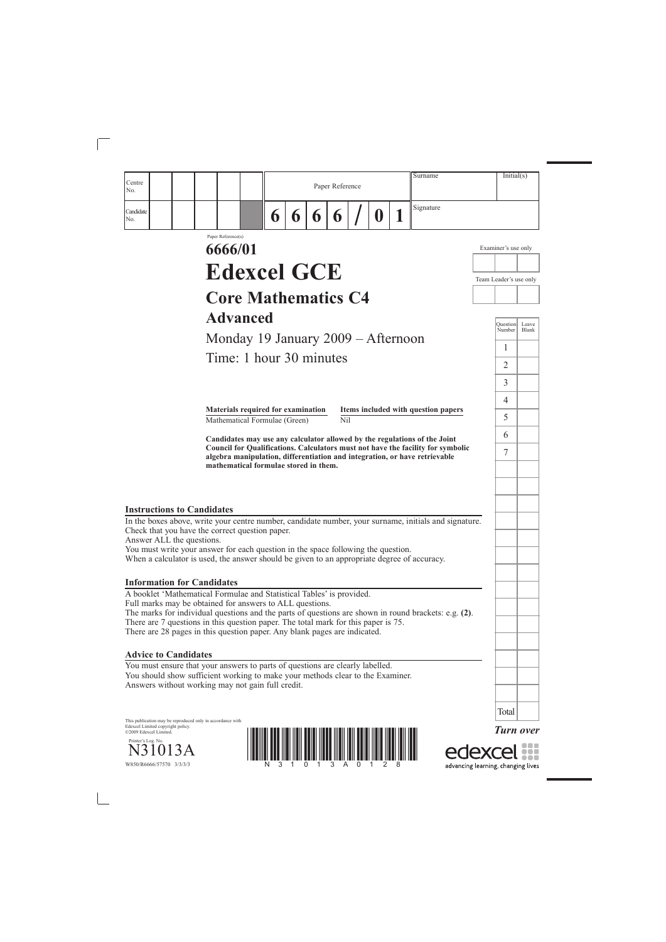*Turn over*

edexcel



| Centre<br>No.                                                                                                                                                                    |                                                                     |   |   |   | Paper Reference         |   | Surname                                                                                                                                                                                                                                    |                        |          | Initial(s)            |
|----------------------------------------------------------------------------------------------------------------------------------------------------------------------------------|---------------------------------------------------------------------|---|---|---|-------------------------|---|--------------------------------------------------------------------------------------------------------------------------------------------------------------------------------------------------------------------------------------------|------------------------|----------|-----------------------|
| Candidate<br>No.                                                                                                                                                                 |                                                                     | 6 | 6 | 6 | 6                       | Û | Signature                                                                                                                                                                                                                                  |                        |          |                       |
|                                                                                                                                                                                  | Paper Reference(s)<br>6666/01                                       |   |   |   |                         |   |                                                                                                                                                                                                                                            | Examiner's use only    |          |                       |
|                                                                                                                                                                                  | <b>Edexcel GCE</b>                                                  |   |   |   |                         |   |                                                                                                                                                                                                                                            | Team Leader's use only |          |                       |
|                                                                                                                                                                                  | <b>Core Mathematics C4</b>                                          |   |   |   |                         |   |                                                                                                                                                                                                                                            |                        |          |                       |
|                                                                                                                                                                                  |                                                                     |   |   |   |                         |   |                                                                                                                                                                                                                                            |                        |          |                       |
|                                                                                                                                                                                  | <b>Advanced</b>                                                     |   |   |   |                         |   |                                                                                                                                                                                                                                            | Number                 | Ouestion | Leave<br><b>Blank</b> |
|                                                                                                                                                                                  | Monday 19 January 2009 – Afternoon                                  |   |   |   |                         |   |                                                                                                                                                                                                                                            | 1                      |          |                       |
|                                                                                                                                                                                  | Time: 1 hour 30 minutes                                             |   |   |   |                         |   |                                                                                                                                                                                                                                            | $\overline{2}$         |          |                       |
|                                                                                                                                                                                  |                                                                     |   |   |   |                         |   |                                                                                                                                                                                                                                            | 3                      |          |                       |
|                                                                                                                                                                                  |                                                                     |   |   |   |                         |   |                                                                                                                                                                                                                                            | 4                      |          |                       |
|                                                                                                                                                                                  | Materials required for examination<br>Mathematical Formulae (Green) |   |   |   | $\overline{\text{Nil}}$ |   | Items included with question papers                                                                                                                                                                                                        | 5                      |          |                       |
|                                                                                                                                                                                  |                                                                     |   |   |   |                         |   |                                                                                                                                                                                                                                            | 6                      |          |                       |
|                                                                                                                                                                                  | mathematical formulae stored in them.                               |   |   |   |                         |   | Candidates may use any calculator allowed by the regulations of the Joint<br>Council for Qualifications. Calculators must not have the facility for symbolic<br>algebra manipulation, differentiation and integration, or have retrievable | 7                      |          |                       |
| <b>Instructions to Candidates</b>                                                                                                                                                |                                                                     |   |   |   |                         |   |                                                                                                                                                                                                                                            |                        |          |                       |
| Check that you have the correct question paper.<br>Answer ALL the questions.                                                                                                     |                                                                     |   |   |   |                         |   | In the boxes above, write your centre number, candidate number, your surname, initials and signature.                                                                                                                                      |                        |          |                       |
| You must write your answer for each question in the space following the question.<br>When a calculator is used, the answer should be given to an appropriate degree of accuracy. |                                                                     |   |   |   |                         |   |                                                                                                                                                                                                                                            |                        |          |                       |
| <b>Information for Candidates</b>                                                                                                                                                |                                                                     |   |   |   |                         |   |                                                                                                                                                                                                                                            |                        |          |                       |
| A booklet 'Mathematical Formulae and Statistical Tables' is provided.<br>Full marks may be obtained for answers to ALL questions.                                                |                                                                     |   |   |   |                         |   |                                                                                                                                                                                                                                            |                        |          |                       |
| There are 7 questions in this question paper. The total mark for this paper is 75.<br>There are 28 pages in this question paper. Any blank pages are indicated.                  |                                                                     |   |   |   |                         |   | The marks for individual questions and the parts of questions are shown in round brackets: e.g. (2).                                                                                                                                       |                        |          |                       |
|                                                                                                                                                                                  |                                                                     |   |   |   |                         |   |                                                                                                                                                                                                                                            |                        |          |                       |

This publication may be reproduced only in accordance with Edexcel Limited copyright policy. ©2009 Edexcel Limited.

Printer's Log. No. 23 A

 $\overline{\phantom{a}}$ 

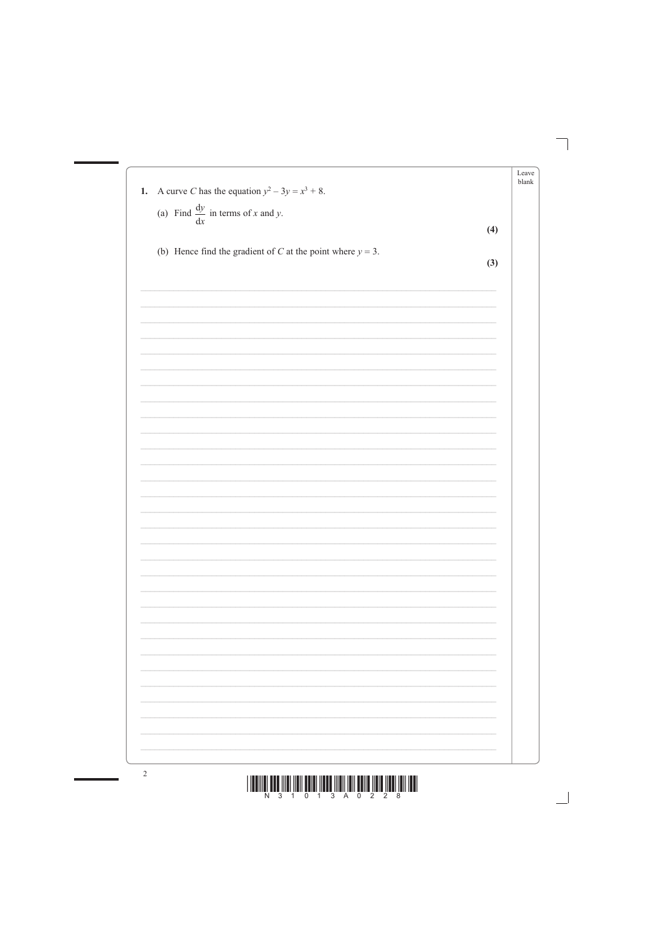|     | Leave |
|-----|-------|
|     | blank |
|     |       |
|     |       |
| (4) |       |
|     |       |
|     |       |
|     |       |
|     |       |
|     |       |
|     |       |
|     |       |
|     |       |
|     |       |
|     |       |
|     |       |
|     |       |
|     |       |
|     |       |
|     |       |
|     |       |
|     |       |
|     |       |
|     |       |
|     |       |
|     |       |
|     |       |
|     |       |
|     |       |
|     |       |
|     |       |
|     |       |
|     |       |
|     |       |
|     |       |
|     |       |
|     |       |
|     |       |
|     |       |
|     | (3)   |



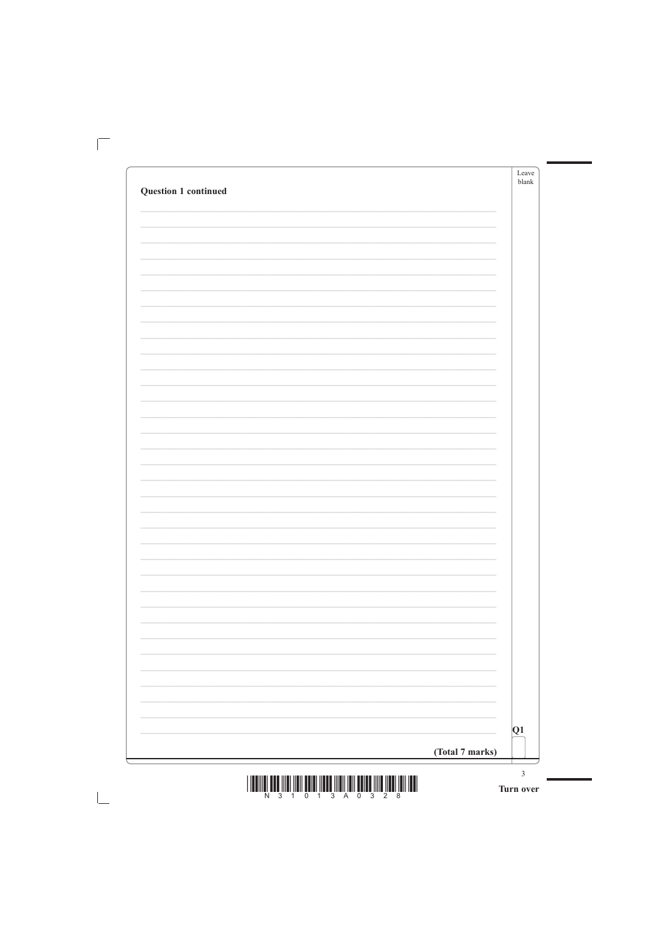|                             | Leave<br>blank |
|-----------------------------|----------------|
| <b>Question 1 continued</b> |                |
|                             |                |
|                             |                |
|                             |                |
|                             |                |
|                             |                |
|                             |                |
|                             |                |
|                             |                |
|                             |                |
|                             |                |
|                             |                |
|                             |                |
|                             |                |
|                             |                |
|                             |                |
|                             |                |
|                             |                |
|                             |                |
|                             |                |
|                             |                |
|                             |                |
|                             |                |
|                             |                |
|                             |                |
|                             |                |
|                             |                |
|                             |                |
|                             |                |
|                             |                |
|                             |                |
|                             |                |
|                             |                |
|                             |                |
|                             |                |
|                             |                |
|                             |                |
|                             |                |

 $\mathbb{R}$ 

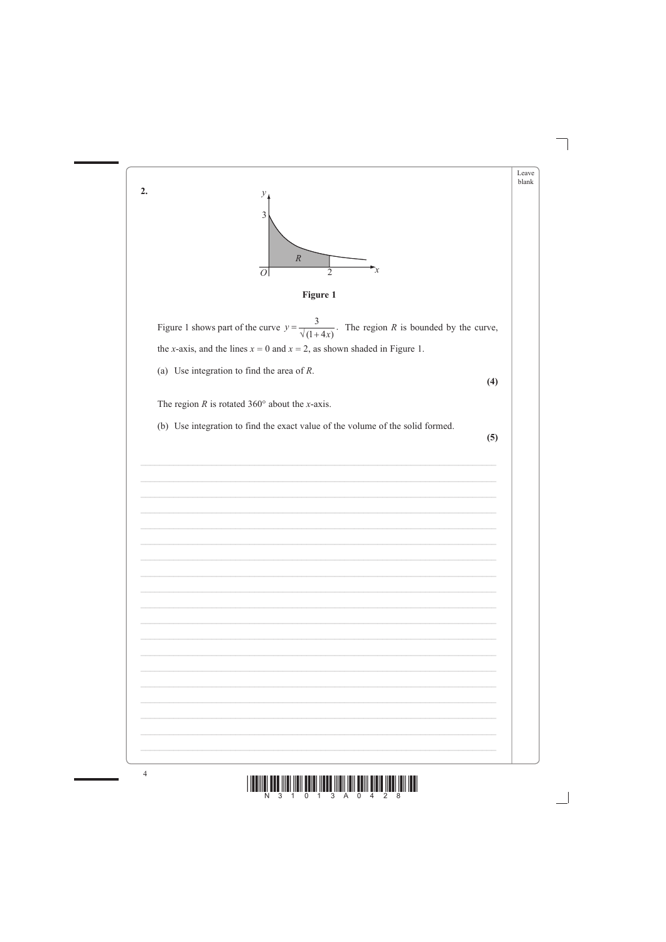





 $\overline{4}$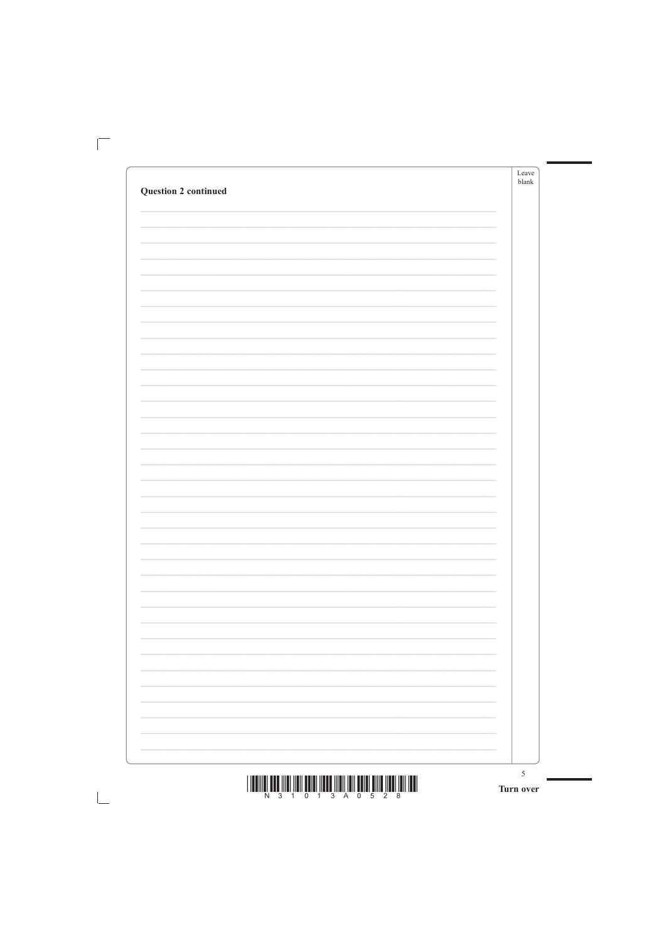|                             | Leave<br>blank |
|-----------------------------|----------------|
| <b>Question 2 continued</b> |                |
|                             |                |
|                             |                |
|                             |                |
|                             |                |
|                             |                |
|                             |                |
|                             |                |
|                             |                |
|                             |                |
|                             |                |
|                             |                |
|                             |                |
|                             |                |
|                             |                |
|                             |                |
|                             |                |
|                             |                |
|                             |                |
|                             |                |
|                             |                |
|                             |                |
|                             |                |
|                             |                |
|                             |                |
|                             |                |
|                             |                |
|                             |                |
|                             |                |
|                             |                |
|                             |                |
|                             |                |
|                             |                |
|                             |                |
|                             |                |
|                             |                |
|                             |                |

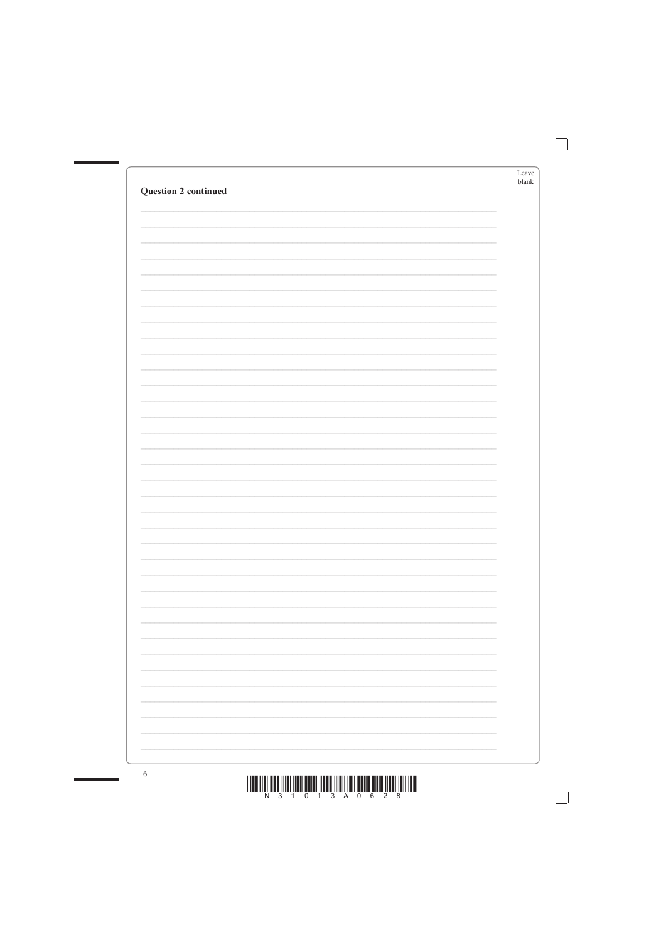| ÷. |
|----|





 $6\phantom{.}6$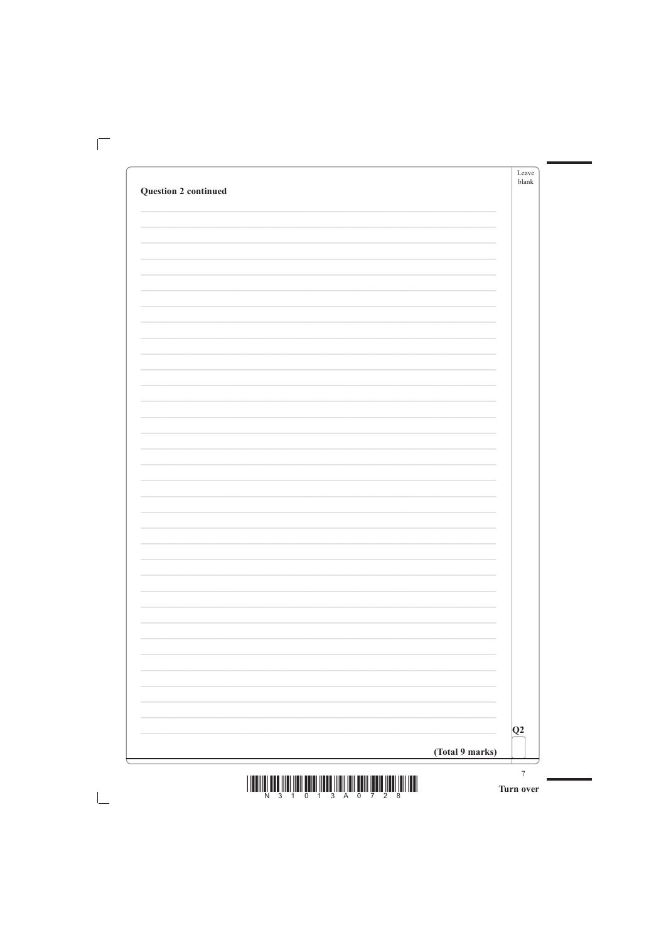|                             | Leave<br>blank |
|-----------------------------|----------------|
| <b>Question 2 continued</b> |                |
|                             |                |
|                             |                |
|                             |                |
|                             |                |
|                             |                |
|                             |                |
|                             |                |
|                             |                |
|                             |                |
|                             |                |
|                             |                |
|                             |                |
|                             |                |
|                             |                |
|                             |                |
|                             |                |
|                             |                |
|                             |                |
|                             |                |
|                             |                |
|                             |                |
|                             |                |
|                             |                |
|                             |                |
|                             |                |
|                             |                |
|                             |                |
|                             |                |
|                             |                |
|                             |                |
|                             |                |
|                             |                |
|                             |                |
|                             |                |
|                             |                |
|                             |                |

 $\mathbb{R}^n$ 

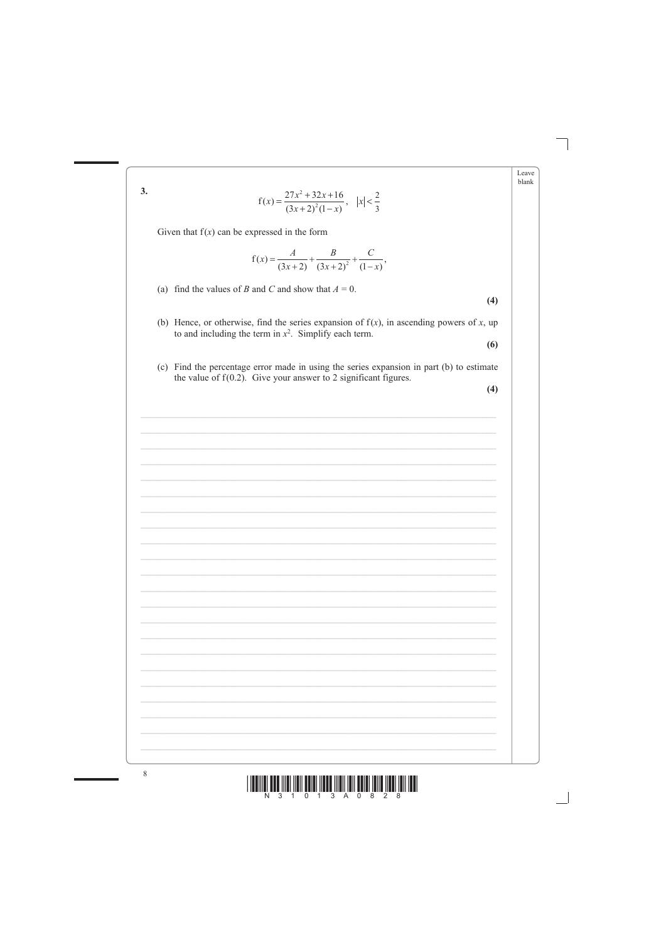|    |                                                                                                                                                                       | Leave<br>blank |
|----|-----------------------------------------------------------------------------------------------------------------------------------------------------------------------|----------------|
| 3. | $f(x) = \frac{27x^2 + 32x + 16}{(3x + 2)^2(1-x)}, \quad  x  < \frac{2}{3}$                                                                                            |                |
|    | Given that $f(x)$ can be expressed in the form                                                                                                                        |                |
|    | $f(x) = \frac{A}{(3x+2)} + \frac{B}{(3x+2)^2} + \frac{C}{(1-x)},$                                                                                                     |                |
|    | (a) find the values of B and C and show that $A = 0$ .<br>(4)                                                                                                         |                |
|    | (b) Hence, or otherwise, find the series expansion of $f(x)$ , in ascending powers of x, up<br>to and including the term in $x^2$ . Simplify each term.<br>(6)        |                |
|    | (c) Find the percentage error made in using the series expansion in part (b) to estimate<br>the value of $f(0.2)$ . Give your answer to 2 significant figures.<br>(4) |                |
|    |                                                                                                                                                                       |                |
|    |                                                                                                                                                                       |                |
|    |                                                                                                                                                                       |                |
|    |                                                                                                                                                                       |                |
|    |                                                                                                                                                                       |                |
|    |                                                                                                                                                                       |                |
|    |                                                                                                                                                                       |                |
|    |                                                                                                                                                                       |                |
|    |                                                                                                                                                                       |                |
|    |                                                                                                                                                                       |                |
|    |                                                                                                                                                                       |                |
|    |                                                                                                                                                                       |                |
|    |                                                                                                                                                                       |                |

п





 $\, 8$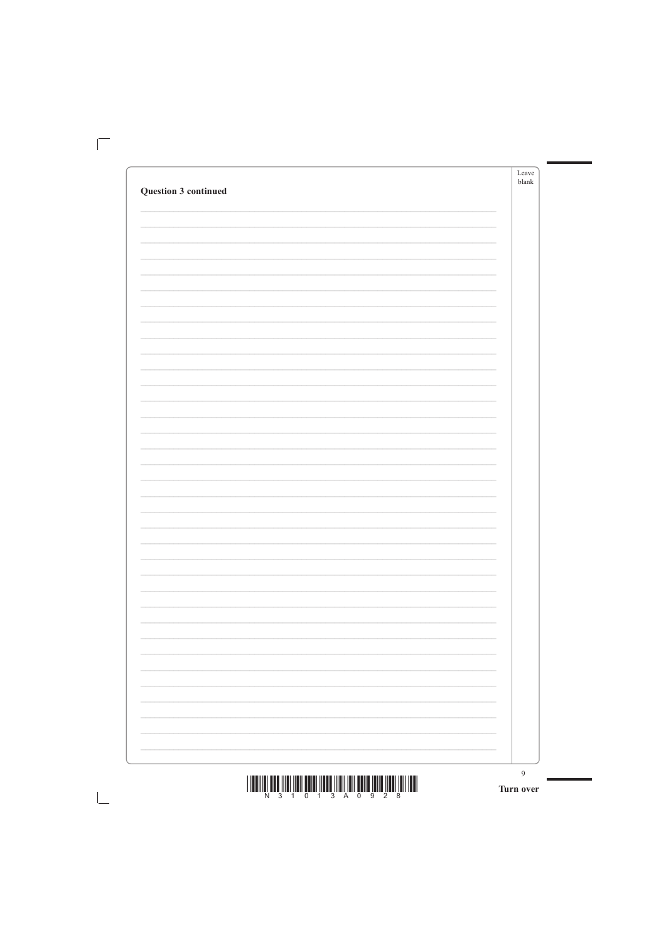|                      | Leave<br>$b$ lank |
|----------------------|-------------------|
| Question 3 continued |                   |
|                      |                   |
|                      |                   |
|                      |                   |
|                      |                   |
|                      |                   |
|                      |                   |
|                      |                   |
|                      |                   |
|                      |                   |
|                      |                   |
|                      |                   |
|                      |                   |
|                      |                   |
|                      |                   |
|                      |                   |
|                      |                   |
|                      |                   |
|                      |                   |
|                      |                   |
|                      |                   |
|                      |                   |
|                      |                   |
|                      |                   |
|                      |                   |
|                      |                   |
|                      |                   |
|                      |                   |
|                      |                   |

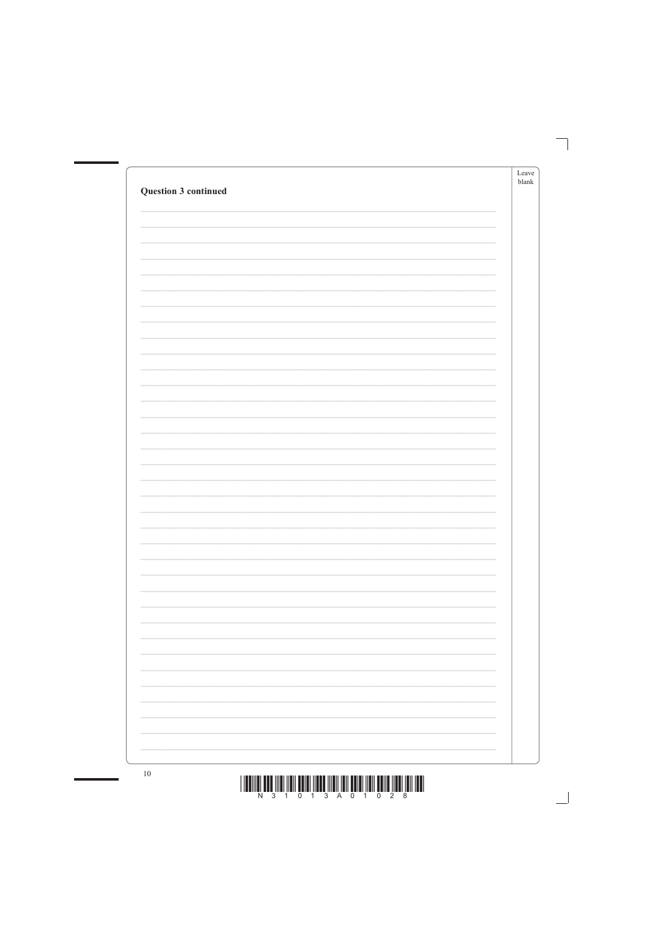| Question 3 continued | Leave<br>$b$ lank        |
|----------------------|--------------------------|
|                      |                          |
|                      |                          |
|                      |                          |
|                      |                          |
|                      |                          |
|                      |                          |
|                      |                          |
|                      |                          |
|                      |                          |
|                      |                          |
|                      |                          |
|                      |                          |
|                      |                          |
|                      |                          |
|                      |                          |
|                      | $\overline{\phantom{a}}$ |



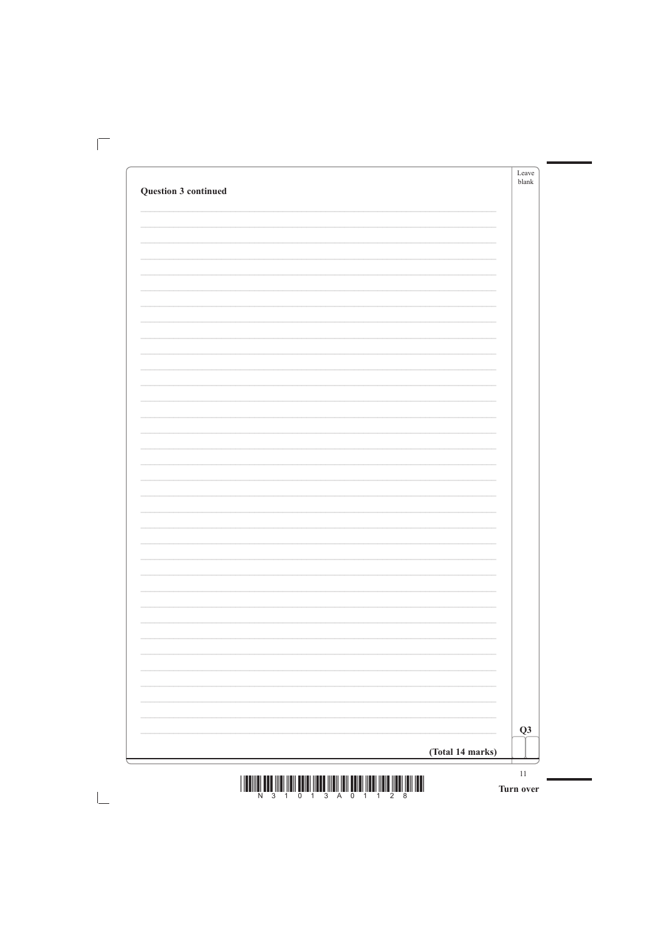|                      | Leave<br>$b$ lank |
|----------------------|-------------------|
| Question 3 continued |                   |
|                      |                   |
|                      |                   |
|                      |                   |
|                      |                   |
|                      |                   |
|                      |                   |
|                      |                   |
|                      |                   |
|                      |                   |
|                      |                   |
|                      |                   |
|                      |                   |
|                      |                   |
|                      |                   |
|                      |                   |
|                      |                   |
|                      |                   |
|                      |                   |
|                      |                   |
|                      |                   |
|                      |                   |
|                      |                   |
|                      |                   |
|                      |                   |
|                      |                   |
|                      |                   |
|                      |                   |
|                      |                   |

 $\mathbb{R}^n$ 

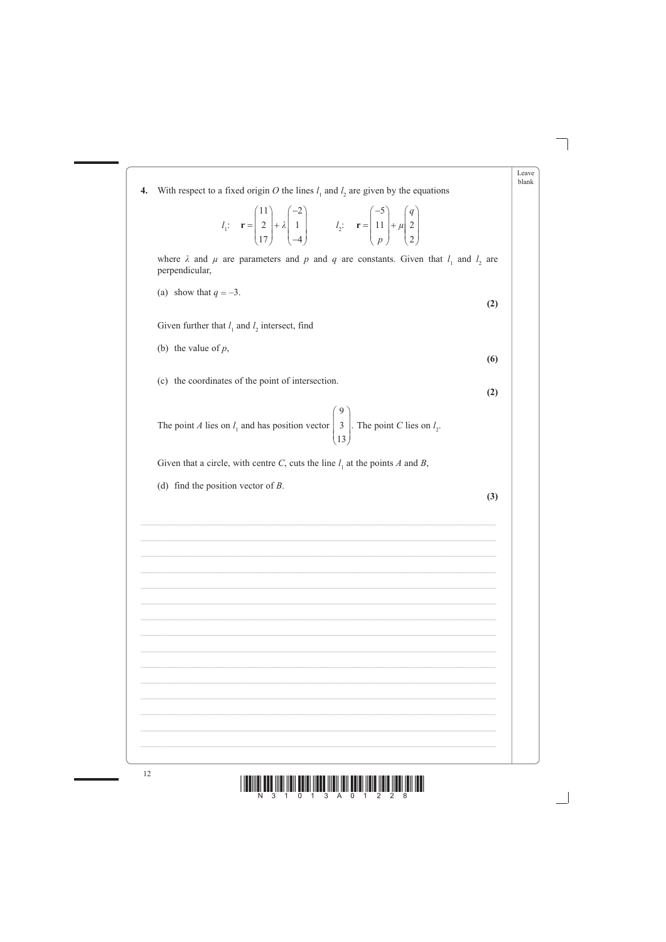| 4. | With respect to a fixed origin O the lines $l_1$ and $l_2$ are given by the equations                                                                                                                                                       |
|----|---------------------------------------------------------------------------------------------------------------------------------------------------------------------------------------------------------------------------------------------|
|    | $l_1$ : $\mathbf{r} = \begin{pmatrix} 11 \\ 2 \\ 17 \end{pmatrix} + \lambda \begin{pmatrix} -2 \\ 1 \\ -4 \end{pmatrix}$ $l_2$ : $\mathbf{r} = \begin{pmatrix} -5 \\ 11 \\ p \end{pmatrix} + \mu \begin{pmatrix} q \\ 2 \\ 2 \end{pmatrix}$ |
|    | where $\lambda$ and $\mu$ are parameters and $p$ and $q$ are constants. Given that $l_1$ and $l_2$ are<br>perpendicular,                                                                                                                    |
|    | (a) show that $q = -3$ .<br>(2)                                                                                                                                                                                                             |
|    | Given further that $l_1$ and $l_2$ intersect, find                                                                                                                                                                                          |
|    | (b) the value of $p$ ,<br>(6)                                                                                                                                                                                                               |
|    | (c) the coordinates of the point of intersection.<br>(2)                                                                                                                                                                                    |
|    | The point <i>A</i> lies on $l_1$ and has position vector $\begin{pmatrix} 9 \\ 3 \\ 13 \end{pmatrix}$ . The point <i>C</i> lies on $l_2$ .                                                                                                  |
|    | Given that a circle, with centre C, cuts the line $l_1$ at the points A and B,                                                                                                                                                              |
|    | (d) find the position vector of $B$ .<br>(3)                                                                                                                                                                                                |
|    |                                                                                                                                                                                                                                             |
|    |                                                                                                                                                                                                                                             |
|    |                                                                                                                                                                                                                                             |
|    |                                                                                                                                                                                                                                             |
|    |                                                                                                                                                                                                                                             |
|    |                                                                                                                                                                                                                                             |
|    |                                                                                                                                                                                                                                             |
|    |                                                                                                                                                                                                                                             |

п

٠

٦

Leave  ${\it blank}$ 



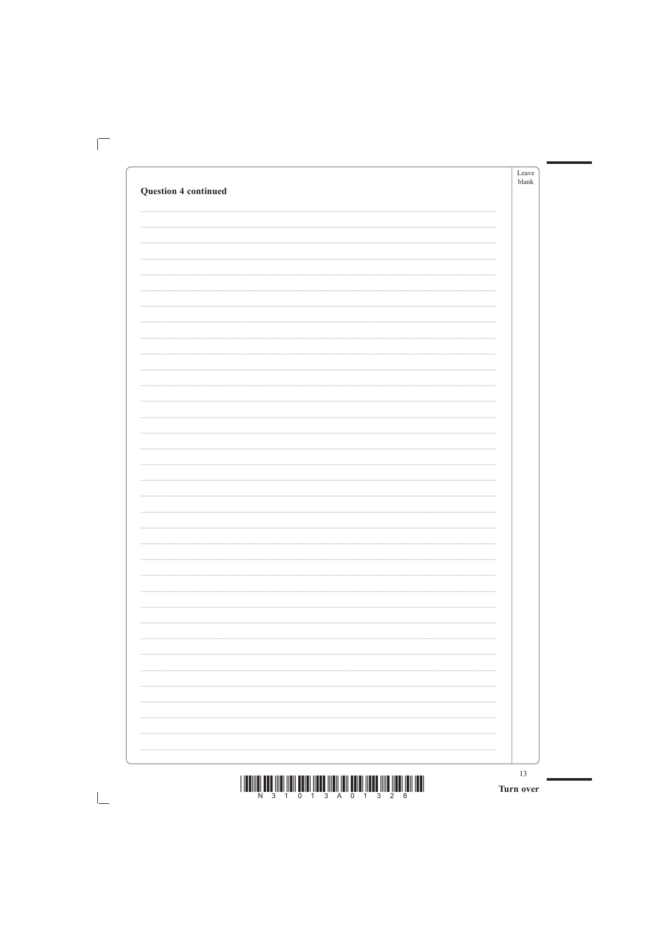| <b>Question 4 continued</b> |  |
|-----------------------------|--|
|                             |  |
|                             |  |
|                             |  |
|                             |  |
|                             |  |
|                             |  |
|                             |  |
|                             |  |
|                             |  |
|                             |  |
|                             |  |
|                             |  |
|                             |  |
|                             |  |
|                             |  |
|                             |  |
|                             |  |
|                             |  |
|                             |  |
|                             |  |
|                             |  |
|                             |  |
|                             |  |
|                             |  |
|                             |  |
|                             |  |
|                             |  |
|                             |  |
|                             |  |
|                             |  |
|                             |  |
|                             |  |
|                             |  |
|                             |  |
|                             |  |
|                             |  |

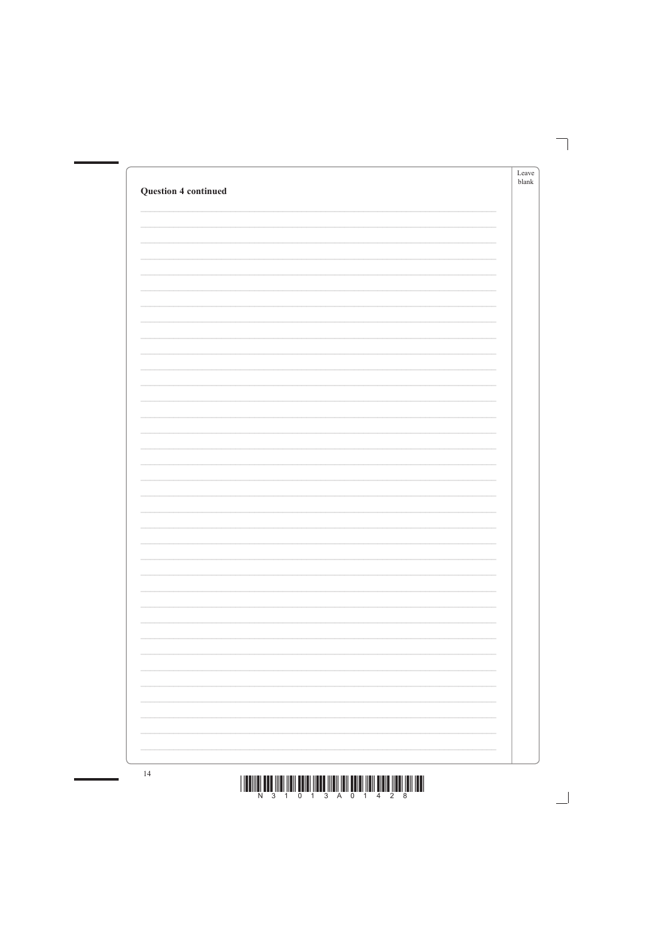| <b>Question 4 continued</b> | Leave<br>$b$ lank |
|-----------------------------|-------------------|
|                             |                   |
|                             |                   |
|                             |                   |
|                             |                   |
|                             |                   |
|                             |                   |
|                             |                   |
|                             |                   |
|                             |                   |
|                             |                   |
|                             |                   |
|                             |                   |
|                             |                   |
|                             |                   |
|                             |                   |
|                             |                   |
|                             |                   |
|                             |                   |



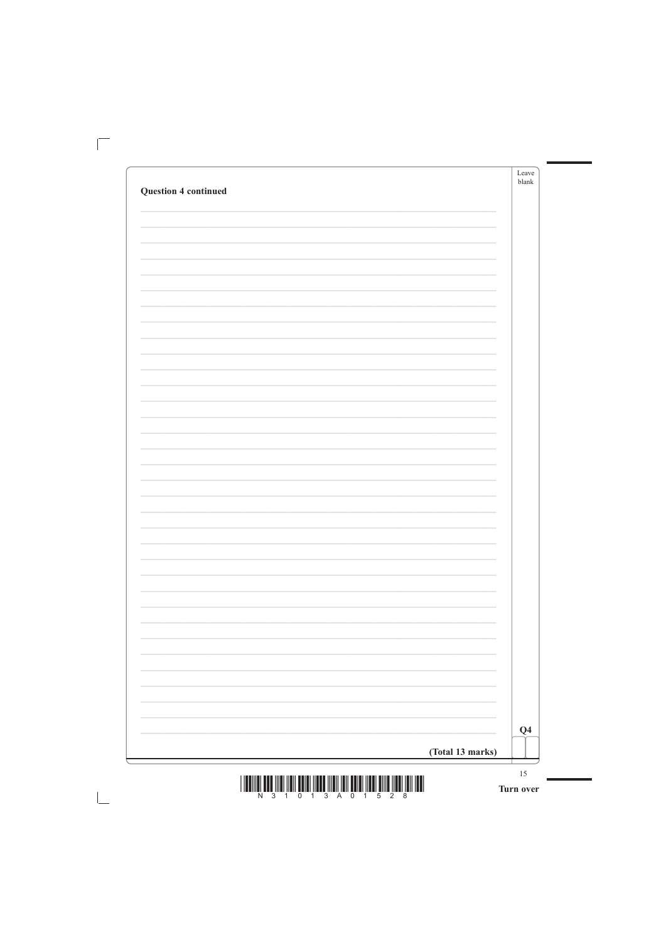| <b>Question 4 continued</b> |  | Leave<br>blank |
|-----------------------------|--|----------------|
|                             |  |                |
|                             |  |                |
|                             |  |                |
|                             |  |                |
|                             |  |                |
|                             |  |                |
|                             |  |                |
|                             |  |                |
|                             |  |                |
|                             |  |                |
|                             |  |                |
|                             |  |                |
|                             |  |                |
|                             |  |                |
|                             |  |                |
|                             |  |                |
|                             |  |                |
|                             |  |                |
|                             |  |                |
|                             |  |                |
|                             |  |                |
|                             |  |                |
|                             |  |                |
|                             |  |                |
|                             |  |                |
|                             |  |                |
|                             |  |                |
|                             |  |                |
|                             |  |                |
|                             |  |                |
|                             |  |                |
|                             |  |                |
|                             |  |                |
|                             |  |                |
|                             |  |                |
|                             |  |                |
|                             |  |                |
|                             |  |                |

 $\mathbb{R}$ 

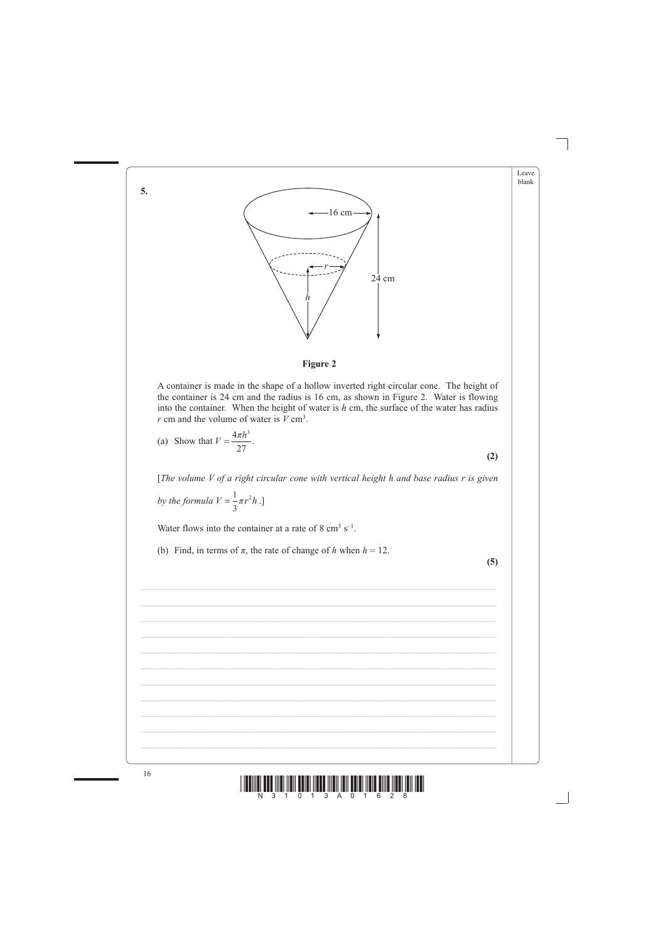



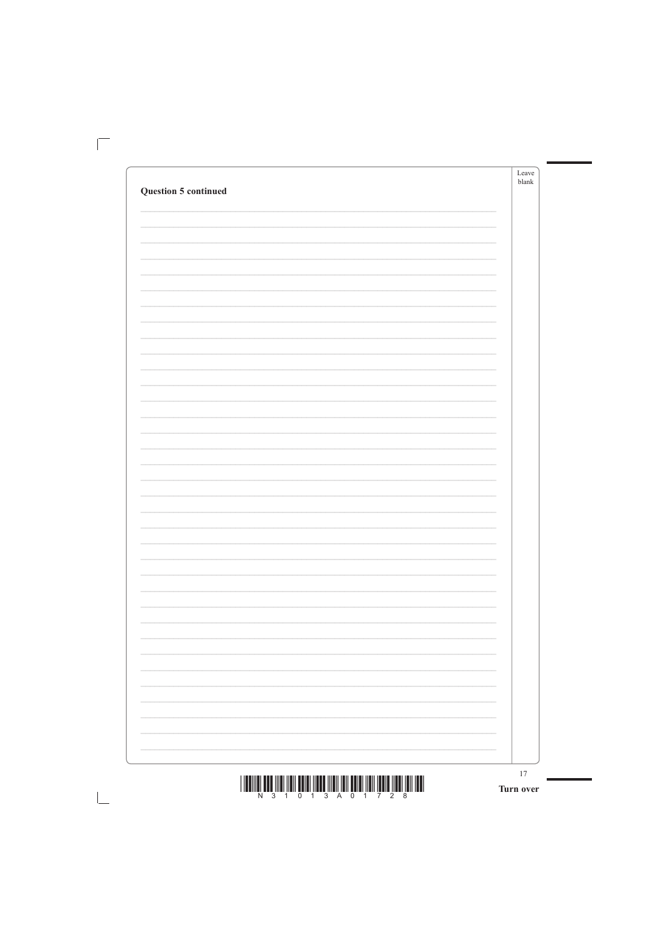|                             | Leave<br>blank |
|-----------------------------|----------------|
| <b>Question 5 continued</b> |                |
|                             |                |
|                             |                |
|                             |                |
|                             |                |
|                             |                |
|                             |                |
|                             |                |
|                             |                |
|                             |                |
|                             |                |
|                             |                |
|                             |                |
|                             |                |
|                             |                |
|                             |                |
|                             |                |
|                             |                |
|                             |                |
|                             |                |
|                             |                |
|                             |                |
|                             |                |
|                             |                |
|                             |                |
|                             |                |
|                             |                |
|                             |                |
|                             |                |
|                             |                |
|                             |                |
|                             |                |
|                             |                |
|                             |                |
|                             |                |
|                             |                |

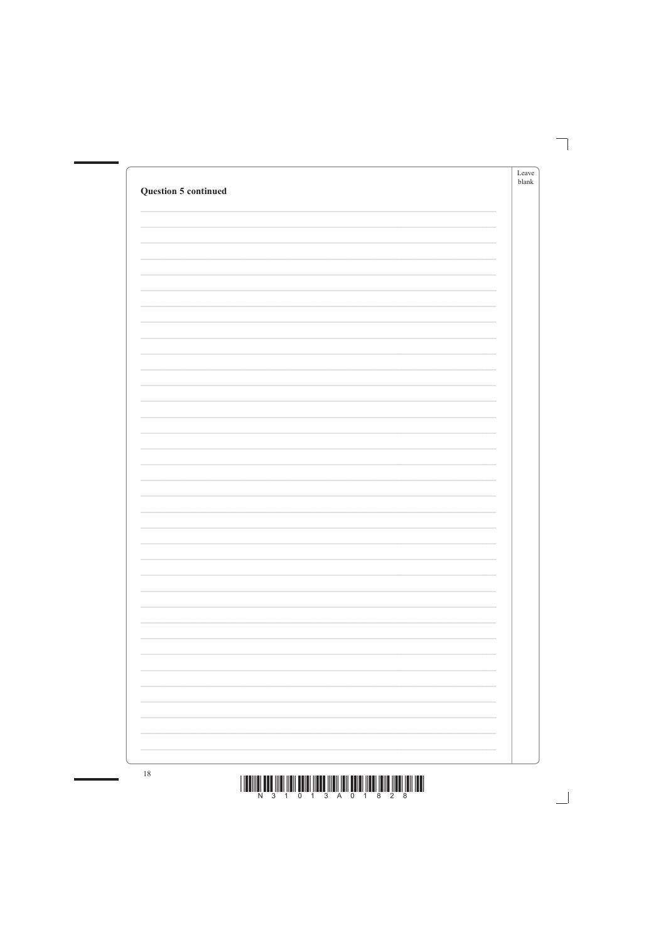| <b>Question 5 continued</b> |                                                                 | Leave<br>blank |
|-----------------------------|-----------------------------------------------------------------|----------------|
|                             |                                                                 |                |
|                             |                                                                 |                |
|                             |                                                                 |                |
|                             |                                                                 |                |
|                             |                                                                 |                |
|                             |                                                                 |                |
|                             |                                                                 |                |
|                             |                                                                 |                |
|                             |                                                                 |                |
|                             |                                                                 |                |
|                             |                                                                 |                |
|                             |                                                                 |                |
|                             |                                                                 |                |
|                             |                                                                 |                |
|                             |                                                                 |                |
|                             |                                                                 |                |
|                             |                                                                 |                |
|                             |                                                                 |                |
|                             |                                                                 |                |
|                             | the contract of the contract of the contract of the contract of |                |
|                             |                                                                 |                |
|                             | $\overline{\phantom{a}}$                                        |                |
|                             | the contract of the contract of the contract of the contract of |                |
|                             |                                                                 |                |
|                             | the contract of the contract of the contract of the contract of |                |
|                             |                                                                 |                |
|                             | $\overline{\phantom{a}}$                                        |                |
|                             | the contract of the contract of the contract of the contract of |                |
|                             |                                                                 |                |



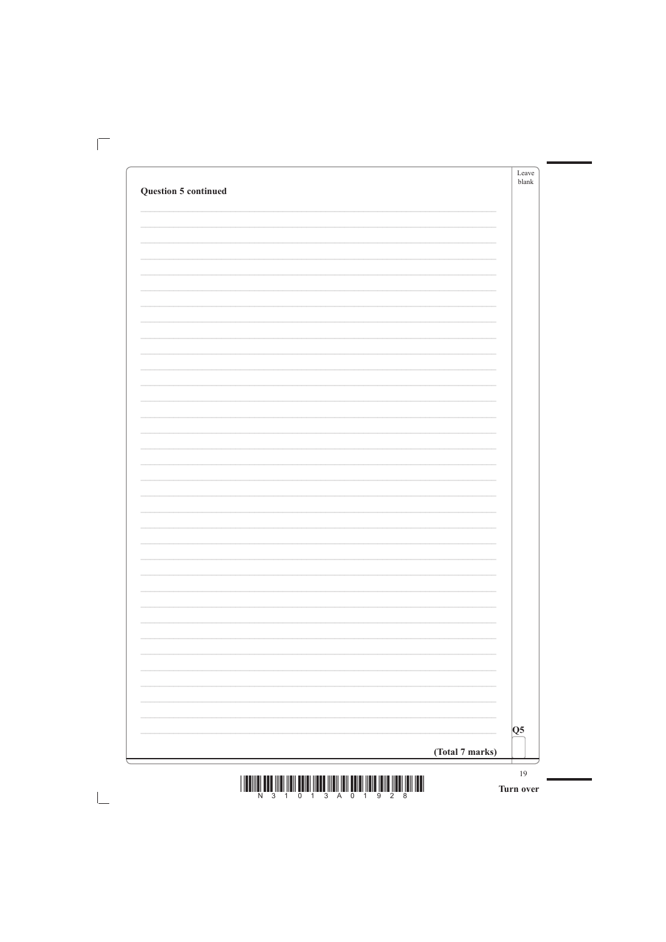|                             | Leave<br>blank |
|-----------------------------|----------------|
| <b>Question 5 continued</b> |                |
|                             |                |
|                             |                |
|                             |                |
|                             |                |
|                             |                |
|                             |                |
|                             |                |
|                             |                |
|                             |                |
|                             |                |
|                             |                |
|                             |                |
|                             |                |
|                             |                |
|                             |                |
|                             |                |
|                             |                |
|                             |                |
|                             |                |
|                             |                |
|                             |                |
|                             |                |
|                             |                |
|                             |                |
|                             |                |
|                             |                |
|                             |                |
|                             |                |
|                             |                |
|                             |                |
|                             |                |
|                             |                |
|                             |                |
|                             |                |
|                             |                |

 $\mathbb{R}$ 

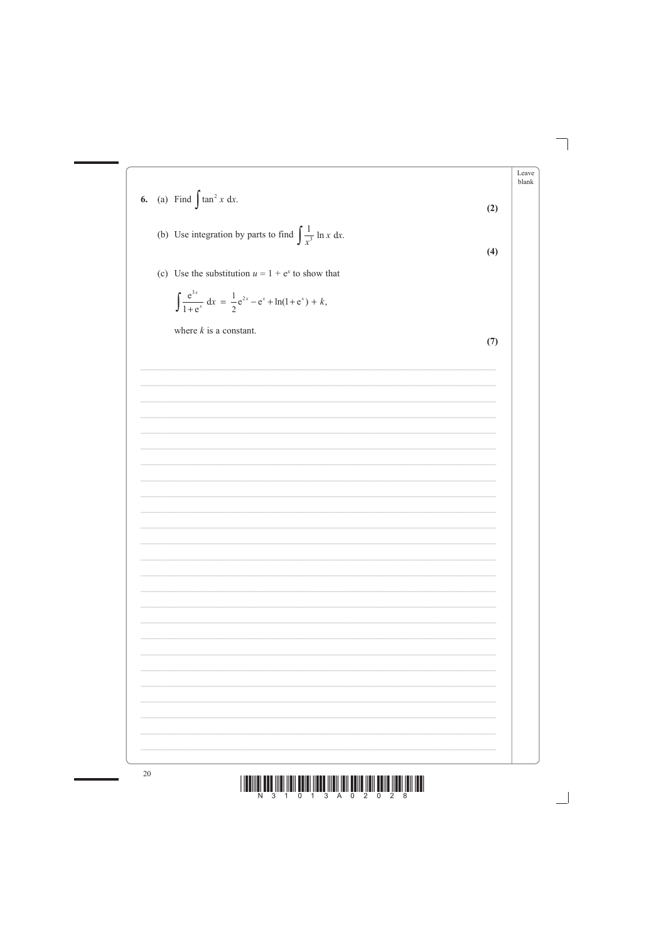



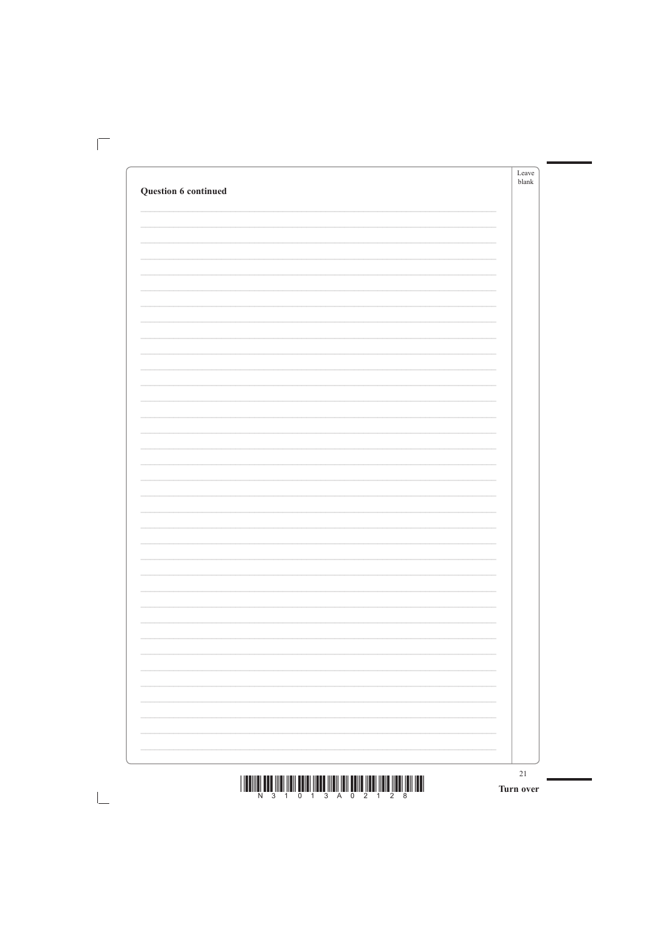|                      | Leave<br>blank |
|----------------------|----------------|
| Question 6 continued |                |
|                      |                |
|                      |                |
|                      |                |
|                      |                |
|                      |                |
|                      |                |
|                      |                |
|                      |                |
|                      |                |
|                      |                |
|                      |                |
|                      |                |
|                      |                |
|                      |                |
|                      |                |
|                      |                |
|                      |                |
|                      |                |
|                      |                |
|                      |                |
|                      |                |
|                      |                |
|                      |                |
|                      |                |
|                      |                |
|                      |                |
|                      |                |
|                      |                |
|                      |                |
|                      |                |
|                      |                |
|                      |                |
|                      |                |
|                      |                |
|                      |                |

 $\mathbf{I}$ 

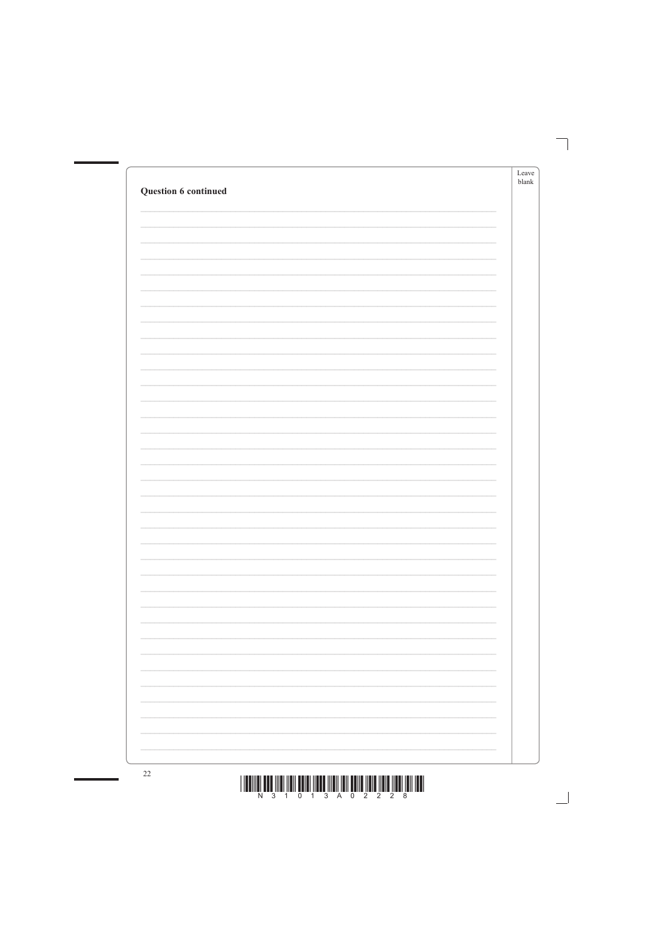| Question 6 continued |                                                 | Leave<br>blank |
|----------------------|-------------------------------------------------|----------------|
|                      |                                                 |                |
|                      |                                                 |                |
|                      |                                                 |                |
|                      |                                                 |                |
|                      |                                                 |                |
|                      |                                                 |                |
|                      |                                                 |                |
|                      |                                                 |                |
|                      |                                                 |                |
|                      |                                                 |                |
|                      |                                                 |                |
|                      |                                                 |                |
|                      |                                                 |                |
|                      | $\overline{\phantom{0}}$                        |                |
|                      |                                                 |                |
|                      | the contract of the contract of the contract of |                |
|                      | $\overline{\phantom{a}}$                        |                |
|                      | $\sim$                                          |                |



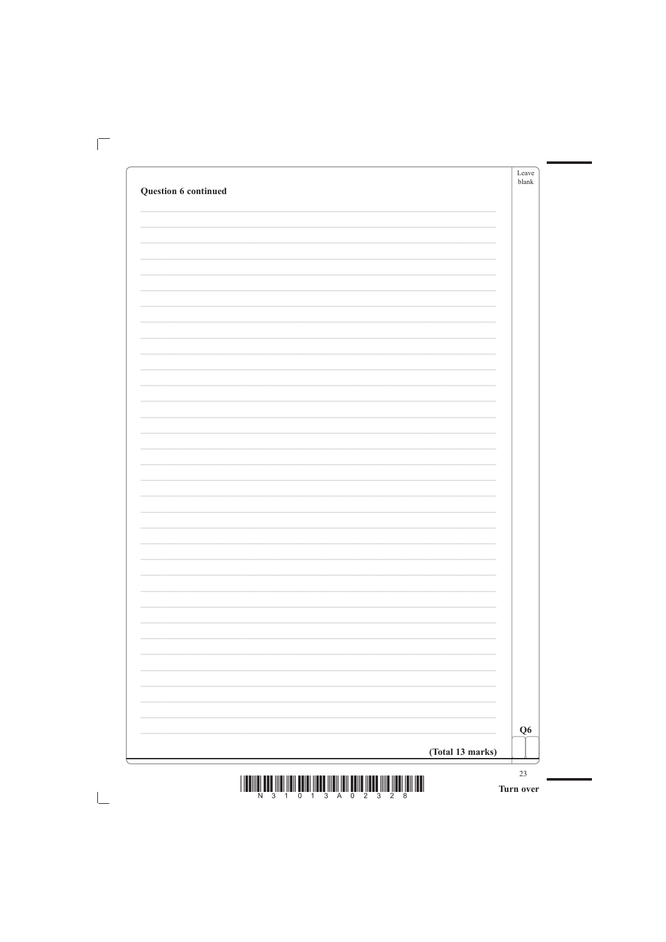|                      | Leave<br>blank |
|----------------------|----------------|
| Question 6 continued |                |
|                      |                |
|                      |                |
|                      |                |
|                      |                |
|                      |                |
|                      |                |
|                      |                |
|                      |                |
|                      |                |
|                      |                |
|                      |                |
|                      |                |
|                      |                |
|                      |                |
|                      |                |
|                      |                |
|                      |                |
|                      |                |
|                      |                |
|                      |                |
|                      |                |
|                      |                |
|                      |                |
|                      |                |
|                      |                |
|                      |                |
|                      |                |
|                      |                |
|                      |                |
|                      |                |
|                      |                |
|                      |                |
|                      |                |
|                      |                |
|                      |                |

 $\mathbb{R}$ 

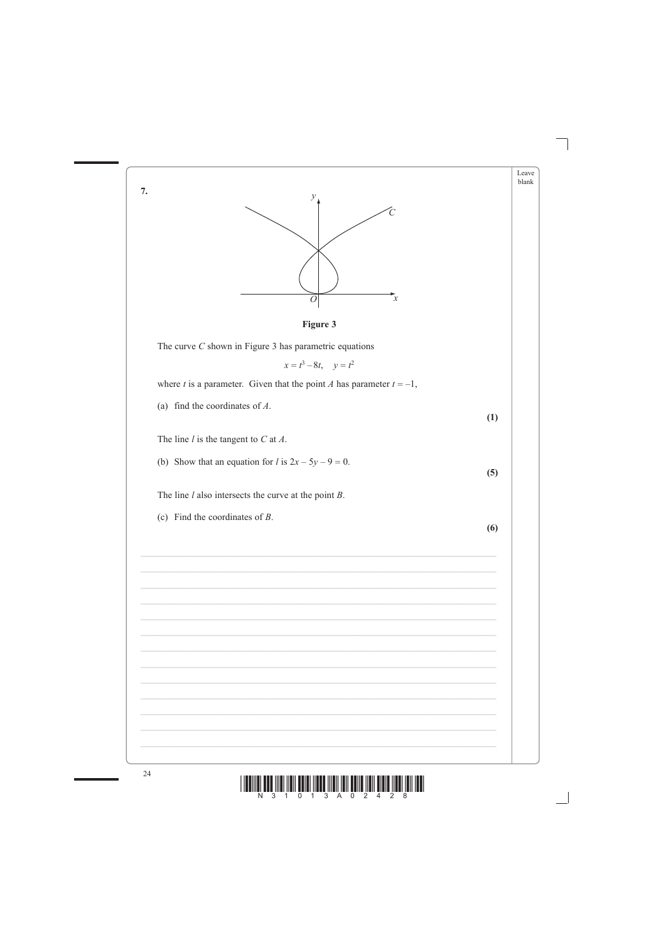



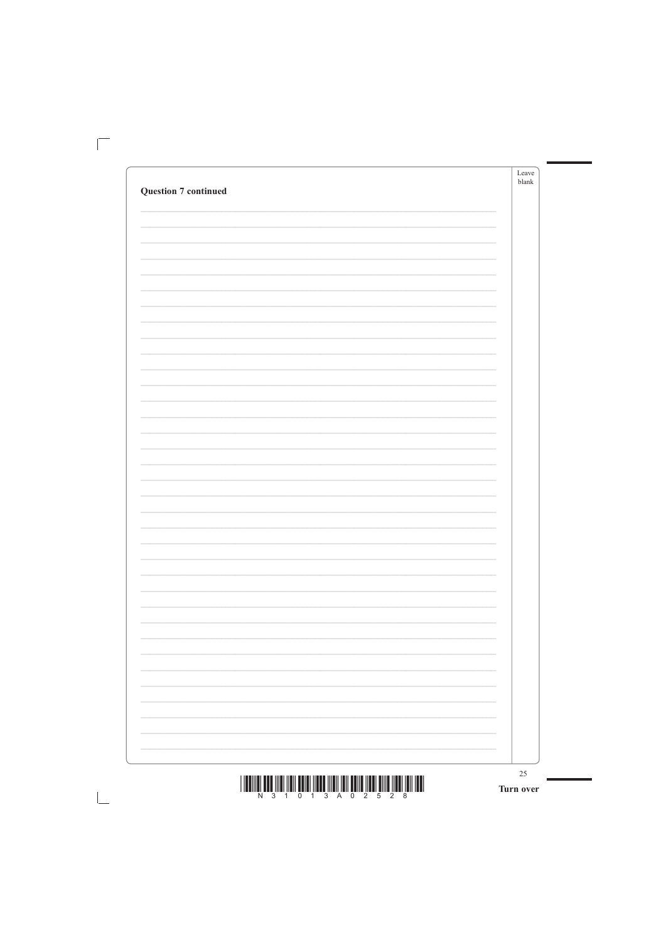| <b>Question 7 continued</b> | Leave<br>$b$ lank |
|-----------------------------|-------------------|
|                             |                   |
|                             |                   |
|                             |                   |
|                             |                   |
|                             |                   |
|                             |                   |
|                             |                   |
|                             |                   |
|                             |                   |
|                             |                   |
|                             |                   |
|                             |                   |
|                             |                   |
|                             |                   |
|                             |                   |
|                             |                   |
|                             |                   |
|                             |                   |
|                             |                   |
|                             |                   |
|                             |                   |
|                             |                   |
|                             |                   |
|                             |                   |
|                             |                   |
|                             |                   |
|                             |                   |
|                             |                   |
|                             |                   |
|                             |                   |

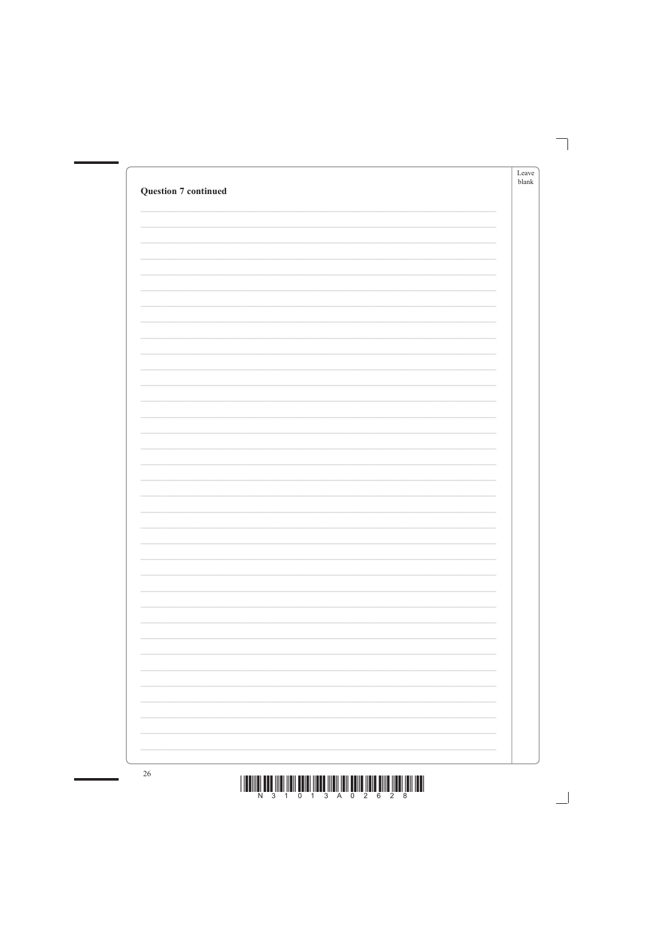| <b>Question 7 continued</b> | Leave<br>$b$ lank        |
|-----------------------------|--------------------------|
|                             |                          |
|                             |                          |
|                             |                          |
|                             |                          |
|                             |                          |
|                             |                          |
|                             |                          |
|                             |                          |
|                             |                          |
|                             |                          |
|                             |                          |
|                             |                          |
|                             |                          |
|                             |                          |
|                             |                          |
|                             |                          |
|                             |                          |
|                             | $\overline{\phantom{a}}$ |



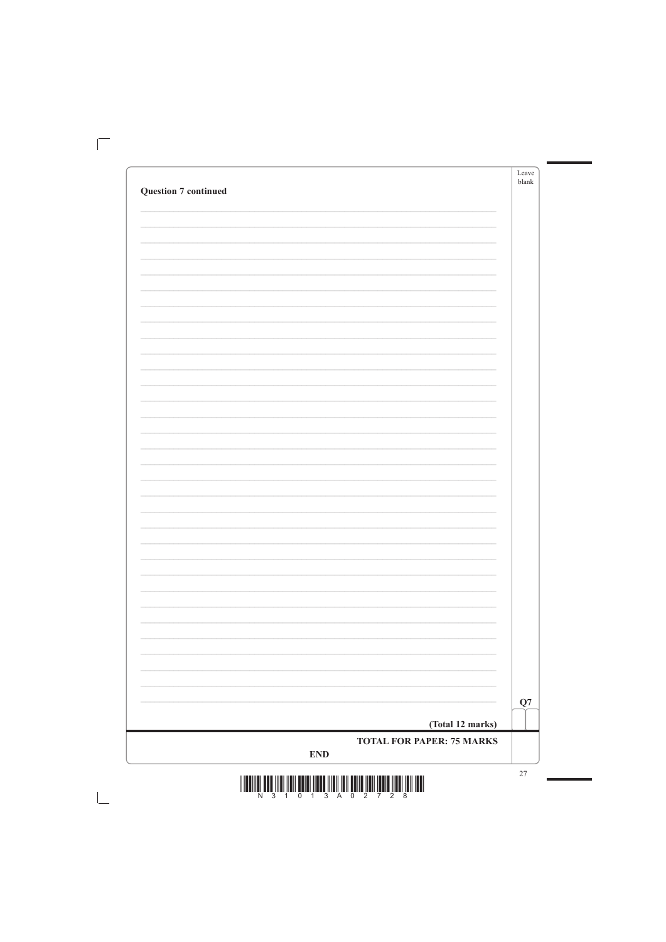|                             | Leave<br>blank |
|-----------------------------|----------------|
| <b>Question 7 continued</b> |                |
|                             |                |
|                             |                |
|                             |                |
|                             |                |
|                             |                |
|                             |                |
|                             |                |
|                             |                |
|                             |                |
|                             |                |
|                             |                |
|                             |                |
|                             |                |
|                             |                |
|                             |                |
|                             |                |
|                             |                |
|                             |                |
|                             |                |
|                             |                |
|                             |                |
|                             |                |
|                             |                |
|                             |                |
|                             |                |
|                             |                |
|                             |                |
|                             |                |
|                             |                |
|                             |                |
|                             |                |
|                             |                |
|                             |                |
|                             |                |

 $\overline{\Box}$ 

 $\mathbb{R}^n$